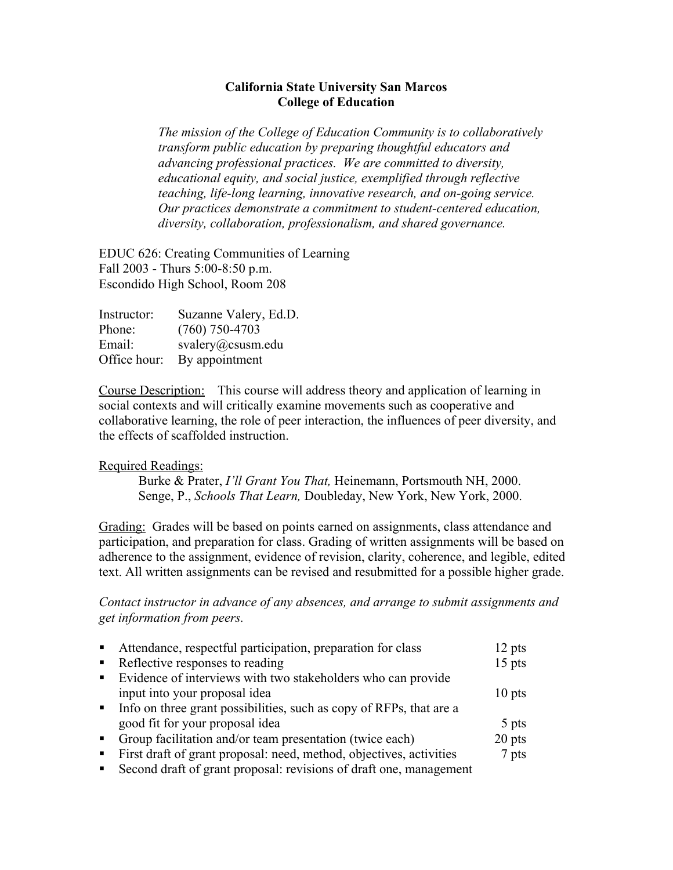## **California State University San Marcos College of Education**

*The mission of the College of Education Community is to collaboratively transform public education by preparing thoughtful educators and advancing professional practices. We are committed to diversity, educational equity, and social justice, exemplified through reflective teaching, life-long learning, innovative research, and on-going service. Our practices demonstrate a commitment to student-centered education, diversity, collaboration, professionalism, and shared governance.* 

EDUC 626: Creating Communities of Learning Fall 2003 - Thurs 5:00-8:50 p.m. Escondido High School, Room 208

| Instructor:  | Suzanne Valery, Ed.D. |
|--------------|-----------------------|
| Phone:       | $(760)$ 750-4703      |
| Email:       | svalery@csusm.edu     |
| Office hour: | By appointment        |

Course Description: This course will address theory and application of learning in social contexts and will critically examine movements such as cooperative and collaborative learning, the role of peer interaction, the influences of peer diversity, and the effects of scaffolded instruction.

## Required Readings:

Burke & Prater, *I'll Grant You That,* Heinemann, Portsmouth NH, 2000. Senge, P., *Schools That Learn,* Doubleday, New York, New York, 2000.

Grading: Grades will be based on points earned on assignments, class attendance and participation, and preparation for class. Grading of written assignments will be based on adherence to the assignment, evidence of revision, clarity, coherence, and legible, edited text. All written assignments can be revised and resubmitted for a possible higher grade.

*Contact instructor in advance of any absences, and arrange to submit assignments and get information from peers.* 

| $\blacksquare$ | Attendance, respectful participation, preparation for class           | $12$ pts |
|----------------|-----------------------------------------------------------------------|----------|
| $\blacksquare$ | Reflective responses to reading                                       | $15$ pts |
| $\blacksquare$ | Evidence of interviews with two stakeholders who can provide          |          |
|                | input into your proposal idea                                         | $10$ pts |
|                | • Info on three grant possibilities, such as copy of RFPs, that are a |          |
|                | good fit for your proposal idea                                       | 5 pts    |
|                | • Group facilitation and/or team presentation (twice each)            | $20$ pts |
|                | First draft of grant proposal: need, method, objectives, activities   | 7 pts    |
|                | Second draft of grant proposal: revisions of draft one, management    |          |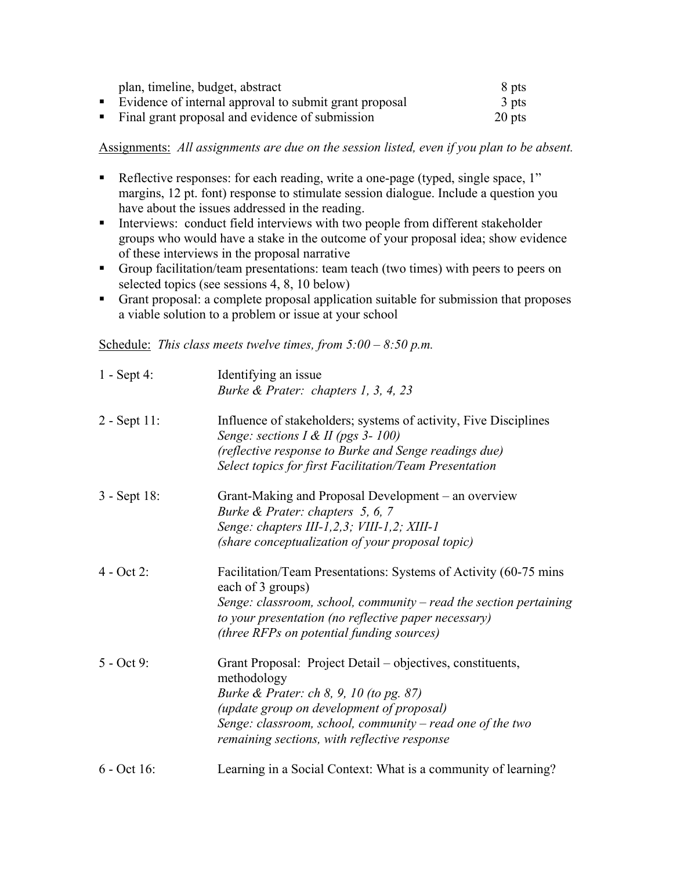| plan, timeline, budget, abstract                         | 8 pts  |
|----------------------------------------------------------|--------|
| • Evidence of internal approval to submit grant proposal | 3 pts  |
| • Final grant proposal and evidence of submission        | 20 pts |

Assignments: *All assignments are due on the session listed, even if you plan to be absent.* 

- Reflective responses: for each reading, write a one-page (typed, single space, 1" margins, 12 pt. font) response to stimulate session dialogue. Include a question you have about the issues addressed in the reading.
- Interviews: conduct field interviews with two people from different stakeholder groups who would have a stake in the outcome of your proposal idea; show evidence of these interviews in the proposal narrative
- Group facilitation/team presentations: team teach (two times) with peers to peers on selected topics (see sessions 4, 8, 10 below)
- Grant proposal: a complete proposal application suitable for submission that proposes a viable solution to a problem or issue at your school

Schedule: *This class meets twelve times, from 5:00 – 8:50 p.m.* 

| $1 -$ Sept 4:   | Identifying an issue<br>Burke & Prater: chapters 1, 3, 4, 23                                                    |
|-----------------|-----------------------------------------------------------------------------------------------------------------|
| $2 - Sept 11$ : | Influence of stakeholders; systems of activity, Five Disciplines<br>Senge: sections I & II (pgs 3- 100)         |
|                 | (reflective response to Burke and Senge readings due)<br>Select topics for first Facilitation/Team Presentation |
| 3 - Sept 18:    | Grant-Making and Proposal Development – an overview<br>Burke & Prater: chapters 5, 6, 7                         |
|                 | Senge: chapters III-1,2,3; VIII-1,2; XIII-1                                                                     |
|                 | (share conceptualization of your proposal topic)                                                                |
| $4 - Oct 2$ :   | Facilitation/Team Presentations: Systems of Activity (60-75 mins)<br>each of 3 groups)                          |
|                 | Senge: classroom, school, community $-$ read the section pertaining                                             |
|                 | to your presentation (no reflective paper necessary)                                                            |
|                 | (three RFPs on potential funding sources)                                                                       |
| $5 - Oct 9$ :   | Grant Proposal: Project Detail – objectives, constituents,<br>methodology                                       |
|                 | Burke & Prater: ch 8, 9, 10 (to pg. 87)                                                                         |
|                 | (update group on development of proposal)                                                                       |
|                 | Senge: classroom, school, community $-$ read one of the two<br>remaining sections, with reflective response     |
| 6 - Oct 16:     | Learning in a Social Context: What is a community of learning?                                                  |